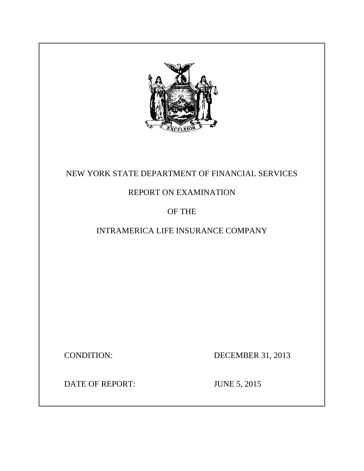

# NEW YORK STATE DEPARTMENT OF FINANCIAL SERVICES

# REPORT ON EXAMINATION

## OF THE

# INTRAMERICA LIFE INSURANCE COMPANY

CONDITION: DECEMBER 31, 2013

DATE OF REPORT: JUNE 5, 2015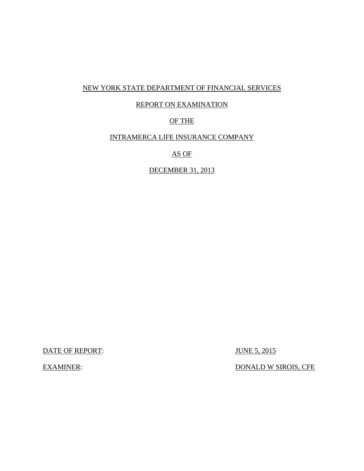### NEW YORK STATE DEPARTMENT OF FINANCIAL SERVICES

### REPORT ON EXAMINATION

## OF THE

### INTRAMERCA LIFE INSURANCE COMPANY

AS OF

DECEMBER 31, 2013

DATE OF REPORT: JUNE 5, 2015

EXAMINER: DONALD W SIROIS, CFE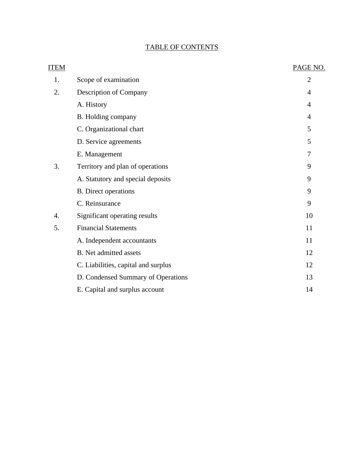## TABLE OF CONTENTS

| <b>ITEM</b> |                                     | PAGE NO.       |
|-------------|-------------------------------------|----------------|
| 1.          | Scope of examination                | $\overline{2}$ |
| 2.          | Description of Company              | 4              |
|             | A. History                          | 4              |
|             | B. Holding company                  | 4              |
|             | C. Organizational chart             | 5              |
|             | D. Service agreements               | 5              |
|             | E. Management                       | 7              |
| 3.          | Territory and plan of operations    | 9              |
|             | A. Statutory and special deposits   | 9              |
|             | <b>B.</b> Direct operations         | 9              |
|             | C. Reinsurance                      | 9              |
| 4.          | Significant operating results       | 10             |
| 5.          | <b>Financial Statements</b>         | 11             |
|             | A. Independent accountants          | 11             |
|             | <b>B.</b> Net admitted assets       | 12             |
|             | C. Liabilities, capital and surplus | 12             |
|             | D. Condensed Summary of Operations  | 13             |
|             | E. Capital and surplus account      | 14             |
|             |                                     |                |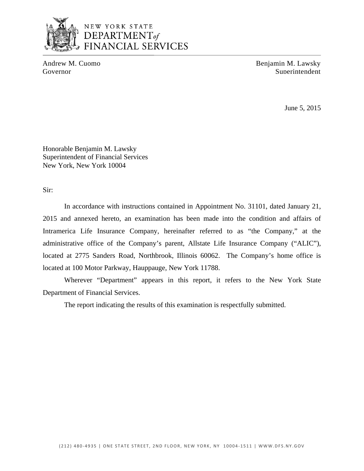

Andrew M. Cuomo Benjamin M. Lawsky Governor Superintendent Superintendent

June 5, 2015

Honorable Benjamin M. Lawsky Superintendent of Financial Services New York, New York 10004

Sir:

In accordance with instructions contained in Appointment No. 31101, dated January 21, 2015 and annexed hereto, an examination has been made into the condition and affairs of Intramerica Life Insurance Company, hereinafter referred to as "the Company," at the administrative office of the Company's parent, Allstate Life Insurance Company ("ALIC"), located at 2775 Sanders Road, Northbrook, Illinois 60062. The Company's home office is located at 100 Motor Parkway, Hauppauge, New York 11788.

Wherever "Department" appears in this report, it refers to the New York State Department of Financial Services.

The report indicating the results of this examination is respectfully submitted.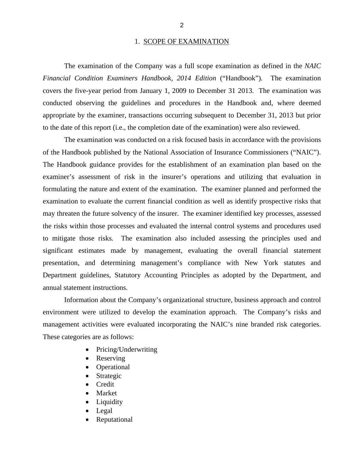### 1. SCOPE OF EXAMINATION

<span id="page-4-0"></span>The examination of the Company was a full scope examination as defined in the *NAIC Financial Condition Examiners Handbook, 2014 Edition* ("Handbook")*.* The examination covers the five-year period from January 1, 2009 to December 31 2013. The examination was conducted observing the guidelines and procedures in the Handbook and, where deemed appropriate by the examiner, transactions occurring subsequent to December 31, 2013 but prior to the date of this report (i.e., the completion date of the examination) were also reviewed.

The examination was conducted on a risk focused basis in accordance with the provisions of the Handbook published by the National Association of Insurance Commissioners ("NAIC"). The Handbook guidance provides for the establishment of an examination plan based on the examiner's assessment of risk in the insurer's operations and utilizing that evaluation in formulating the nature and extent of the examination. The examiner planned and performed the examination to evaluate the current financial condition as well as identify prospective risks that may threaten the future solvency of the insurer. The examiner identified key processes, assessed the risks within those processes and evaluated the internal control systems and procedures used to mitigate those risks. The examination also included assessing the principles used and significant estimates made by management, evaluating the overall financial statement presentation, and determining management's compliance with New York statutes and Department guidelines, Statutory Accounting Principles as adopted by the Department, and annual statement instructions.

Information about the Company's organizational structure, business approach and control environment were utilized to develop the examination approach. The Company's risks and management activities were evaluated incorporating the NAIC's nine branded risk categories. These categories are as follows:

- Pricing/Underwriting
- Reserving
- Operational
- Strategic
- **Credit**
- Market
- Liquidity
- Legal
- Reputational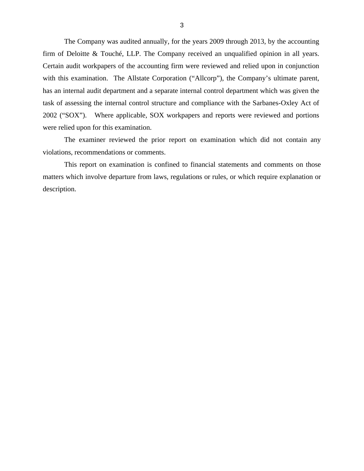The Company was audited annually, for the years 2009 through 2013, by the accounting firm of Deloitte & Touché, LLP. The Company received an unqualified opinion in all years. Certain audit workpapers of the accounting firm were reviewed and relied upon in conjunction with this examination. The Allstate Corporation ("Allcorp"), the Company's ultimate parent, has an internal audit department and a separate internal control department which was given the task of assessing the internal control structure and compliance with the Sarbanes-Oxley Act of 2002 ("SOX"). Where applicable, SOX workpapers and reports were reviewed and portions were relied upon for this examination.

The examiner reviewed the prior report on examination which did not contain any violations, recommendations or comments.

This report on examination is confined to financial statements and comments on those matters which involve departure from laws, regulations or rules, or which require explanation or description.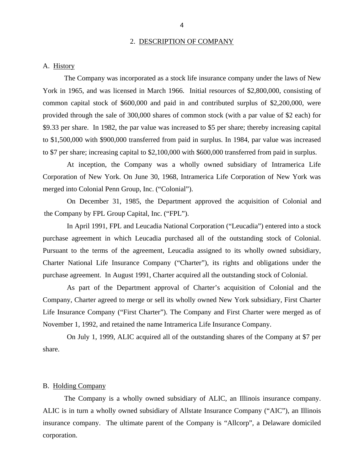#### 2. DESCRIPTION OF COMPANY

### <span id="page-6-0"></span>A. History

The Company was incorporated as a stock life insurance company under the laws of New York in 1965, and was licensed in March 1966. Initial resources of \$2,800,000, consisting of common capital stock of \$600,000 and paid in and contributed surplus of \$2,200,000, were provided through the sale of 300,000 shares of common stock (with a par value of \$2 each) for \$9.33 per share. In 1982, the par value was increased to \$5 per share; thereby increasing capital to \$1,500,000 with \$900,000 transferred from paid in surplus. In 1984, par value was increased to \$7 per share; increasing capital to \$2,100,000 with \$600,000 transferred from paid in surplus.

At inception, the Company was a wholly owned subsidiary of Intramerica Life Corporation of New York. On June 30, 1968, Intramerica Life Corporation of New York was merged into Colonial Penn Group, Inc. ("Colonial").

On December 31, 1985, the Department approved the acquisition of Colonial and the Company by FPL Group Capital, Inc. ("FPL").

In April 1991, FPL and Leucadia National Corporation ("Leucadia") entered into a stock purchase agreement in which Leucadia purchased all of the outstanding stock of Colonial. Pursuant to the terms of the agreement, Leucadia assigned to its wholly owned subsidiary, Charter National Life Insurance Company ("Charter"), its rights and obligations under the purchase agreement. In August 1991, Charter acquired all the outstanding stock of Colonial.

As part of the Department approval of Charter's acquisition of Colonial and the Company, Charter agreed to merge or sell its wholly owned New York subsidiary, First Charter Life Insurance Company ("First Charter"). The Company and First Charter were merged as of November 1, 1992, and retained the name Intramerica Life Insurance Company.

On July 1, 1999, ALIC acquired all of the outstanding shares of the Company at \$7 per share.

### B. Holding Company

The Company is a wholly owned subsidiary of ALIC, an Illinois insurance company. ALIC is in turn a wholly owned subsidiary of Allstate Insurance Company ("AIC"), an Illinois insurance company. The ultimate parent of the Company is "Allcorp", a Delaware domiciled corporation.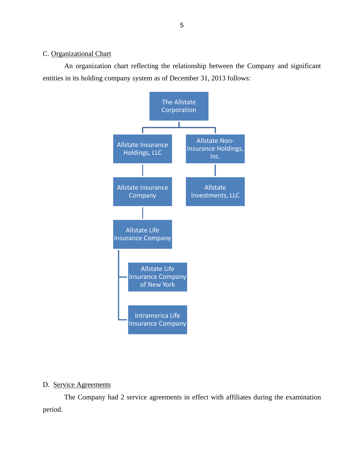### <span id="page-7-0"></span>C. Organizational Chart

An organization chart reflecting the relationship between the Company and significant entities in its holding company system as of December 31, 2013 follows:



### D. Service Agreements

The Company had 2 service agreements in effect with affiliates during the examination period.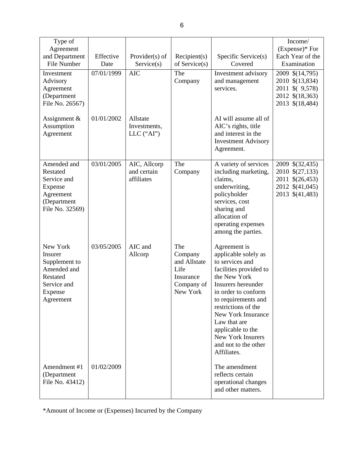| Type of<br>Agreement<br>and Department<br>File Number                                                  | Effective<br>Date | Provider $(s)$ of<br>Service(s)           | Recipient(s)<br>of Service $(s)$                                              | Specific Service(s)<br>Covered                                                                                                                                                                                                                                                                                      | Income/<br>$(Express)*For$<br>Each Year of the<br>Examination                               |
|--------------------------------------------------------------------------------------------------------|-------------------|-------------------------------------------|-------------------------------------------------------------------------------|---------------------------------------------------------------------------------------------------------------------------------------------------------------------------------------------------------------------------------------------------------------------------------------------------------------------|---------------------------------------------------------------------------------------------|
| Investment<br>Advisory<br>Agreement<br>(Department<br>File No. 26567)                                  | 07/01/1999        | <b>AIC</b>                                | The<br>Company                                                                | Investment advisory<br>and management<br>services.                                                                                                                                                                                                                                                                  | 2009 \$(14,795)<br>2010 \$(13,834)<br>2011 \$ (9,578)<br>2012 \$(18,363)<br>2013 \$(18,484) |
| Assignment $\&$<br>Assumption<br>Agreement                                                             | 01/01/2002        | Allstate<br>Investments,<br>$LLC$ ("AI")  |                                                                               | AI will assume all of<br>AIC's rights, title<br>and interest in the<br><b>Investment Advisory</b><br>Agreement.                                                                                                                                                                                                     |                                                                                             |
| Amended and<br>Restated<br>Service and<br>Expense<br>Agreement<br>(Department<br>File No. 32569)       | 03/01/2005        | AIC, Allcorp<br>and certain<br>affiliates | The<br>Company                                                                | A variety of services<br>including marketing,<br>claims,<br>underwriting,<br>policyholder<br>services, cost<br>sharing and<br>allocation of<br>operating expenses<br>among the parties.                                                                                                                             | 2009 \$(32,435)<br>2010 \$(27,133)<br>2011 \$(26,453)<br>2012 \$(41,045)<br>2013 \$(41,483) |
| New York<br>Insurer<br>Supplement to<br>Amended and<br>Restated<br>Service and<br>Expense<br>Agreement | 03/05/2005        | AIC and<br>Allcorp                        | The<br>Company<br>and Allstate<br>Life<br>Insurance<br>Company of<br>New York | Agreement is<br>applicable solely as<br>to services and<br>facilities provided to<br>the New York<br>Insurers hereunder<br>in order to conform<br>to requirements and<br>restrictions of the<br>New York Insurance<br>Law that are<br>applicable to the<br>New York Insurers<br>and not to the other<br>Affiliates. |                                                                                             |
| Amendment #1<br>(Department<br>File No. 43412)                                                         | 01/02/2009        |                                           |                                                                               | The amendment<br>reflects certain<br>operational changes<br>and other matters.                                                                                                                                                                                                                                      |                                                                                             |

\*Amount of Income or (Expenses) Incurred by the Company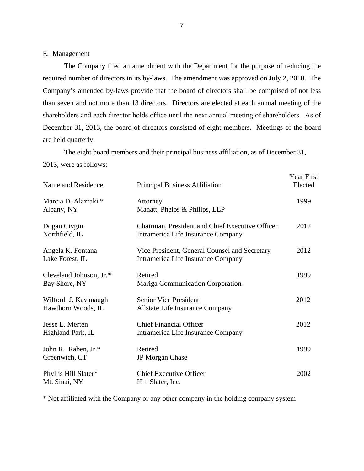### E. Management

The Company filed an amendment with the Department for the purpose of reducing the required number of directors in its by-laws. The amendment was approved on July 2, 2010. The Company's amended by-laws provide that the board of directors shall be comprised of not less than seven and not more than 13 directors. Directors are elected at each annual meeting of the shareholders and each director holds office until the next annual meeting of shareholders. As of December 31, 2013, the board of directors consisted of eight members. Meetings of the board are held quarterly.

The eight board members and their principal business affiliation, as of December 31,

2013, were as follows:

| <b>Name and Residence</b>                  | <b>Principal Business Affiliation</b>                                                 | Year First<br>Elected |
|--------------------------------------------|---------------------------------------------------------------------------------------|-----------------------|
| Marcia D. Alazraki *<br>Albany, NY         | Attorney<br>Manatt, Phelps & Philips, LLP                                             | 1999                  |
| Dogan Civgin<br>Northfield, IL             | Chairman, President and Chief Executive Officer<br>Intramerica Life Insurance Company | 2012                  |
| Angela K. Fontana<br>Lake Forest, IL       | Vice President, General Counsel and Secretary<br>Intramerica Life Insurance Company   | 2012                  |
| Cleveland Johnson, Jr.*<br>Bay Shore, NY   | Retired<br>Mariga Communication Corporation                                           | 1999                  |
| Wilford J. Kavanaugh<br>Hawthorn Woods, IL | <b>Senior Vice President</b><br>Allstate Life Insurance Company                       | 2012                  |
| Jesse E. Merten<br>Highland Park, IL       | <b>Chief Financial Officer</b><br>Intramerica Life Insurance Company                  | 2012                  |
| John R. Raben, Jr.*<br>Greenwich, CT       | Retired<br><b>JP</b> Morgan Chase                                                     | 1999                  |
| Phyllis Hill Slater*<br>Mt. Sinai, NY      | <b>Chief Executive Officer</b><br>Hill Slater, Inc.                                   | 2002                  |

\* Not affiliated with the Company or any other company in the holding company system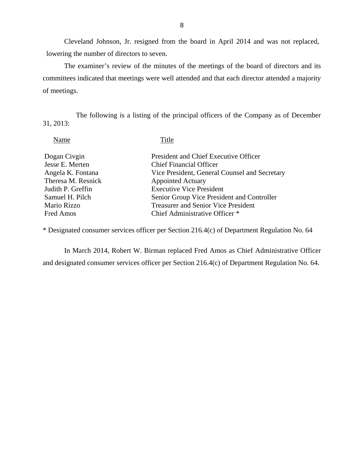Cleveland Johnson, Jr. resigned from the board in April 2014 and was not replaced, lowering the number of directors to seven.

The examiner's review of the minutes of the meetings of the board of directors and its committees indicated that meetings were well attended and that each director attended a majority of meetings.

The following is a listing of the principal officers of the Company as of December 31, 2013:

| Name                                                                                                                              | Title                                                                                                                                                                                                                                                                               |
|-----------------------------------------------------------------------------------------------------------------------------------|-------------------------------------------------------------------------------------------------------------------------------------------------------------------------------------------------------------------------------------------------------------------------------------|
| Dogan Civgin<br>Jesse E. Merten<br>Angela K. Fontana<br>Theresa M. Resnick<br>Judith P. Greffin<br>Samuel H. Pilch<br>Mario Rizzo | President and Chief Executive Officer<br><b>Chief Financial Officer</b><br>Vice President, General Counsel and Secretary<br><b>Appointed Actuary</b><br><b>Executive Vice President</b><br>Senior Group Vice President and Controller<br><b>Treasurer and Senior Vice President</b> |
| Fred Amos                                                                                                                         | Chief Administrative Officer *                                                                                                                                                                                                                                                      |
|                                                                                                                                   |                                                                                                                                                                                                                                                                                     |

\* Designated consumer services officer per Section 216.4(c) of Department Regulation No. 64

In March 2014, Robert W. Birman replaced Fred Amos as Chief Administrative Officer and designated consumer services officer per Section 216.4(c) of Department Regulation No. 64.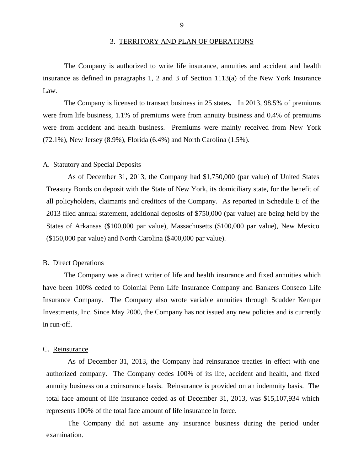#### 3. TERRITORY AND PLAN OF OPERATIONS

<span id="page-11-0"></span>The Company is authorized to write life insurance, annuities and accident and health insurance as defined in paragraphs 1, 2 and 3 of Section 1113(a) of the New York Insurance Law.

The Company is licensed to transact business in 25 states*.* In 2013, 98.5% of premiums were from life business, 1.1% of premiums were from annuity business and 0.4% of premiums were from accident and health business. Premiums were mainly received from New York (72.1%), New Jersey (8.9%), Florida (6.4%) and North Carolina (1.5%).

#### A. Statutory and Special Deposits

As of December 31, 2013, the Company had \$1,750,000 (par value) of United States Treasury Bonds on deposit with the State of New York, its domiciliary state, for the benefit of all policyholders, claimants and creditors of the Company. As reported in Schedule E of the 2013 filed annual statement, additional deposits of \$750,000 (par value) are being held by the States of Arkansas (\$100,000 par value), Massachusetts (\$100,000 par value), New Mexico (\$150,000 par value) and North Carolina (\$400,000 par value).

### B. Direct Operations

The Company was a direct writer of life and health insurance and fixed annuities which have been 100% ceded to Colonial Penn Life Insurance Company and Bankers Conseco Life Insurance Company. The Company also wrote variable annuities through Scudder Kemper Investments, Inc. Since May 2000, the Company has not issued any new policies and is currently in run-off.

#### C. Reinsurance

 annuity business on a coinsurance basis. Reinsurance is provided on an indemnity basis. The As of December 31, 2013, the Company had reinsurance treaties in effect with one authorized company. The Company cedes 100% of its life, accident and health, and fixed total face amount of life insurance ceded as of December 31, 2013, was \$15,107,934 which represents 100% of the total face amount of life insurance in force.

The Company did not assume any insurance business during the period under examination.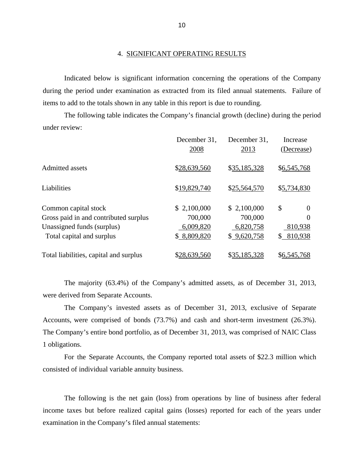Indicated below is significant information concerning the operations of the Company during the period under examination as extracted from its filed annual statements. Failure of items to add to the totals shown in any table in this report is due to rounding.

The following table indicates the Company's financial growth (decline) during the period under review:

|                                        | December 31,<br>2008 | December 31,<br>2013 | Increase<br>(Decrease) |
|----------------------------------------|----------------------|----------------------|------------------------|
| <b>Admitted assets</b>                 | \$28,639,560         | \$35,185,328         | \$6,545,768            |
| Liabilities                            | \$19,829,740         | \$25,564,570         | \$5,734,830            |
| Common capital stock                   | \$2,100,000          | \$2,100,000          | \$<br>$\Omega$         |
| Gross paid in and contributed surplus  | 700,000              | 700,000              | $\theta$               |
| Unassigned funds (surplus)             | 6,009,820            | 6,820,758            | 810,938                |
| Total capital and surplus              | \$8,809,820          | \$9,620,758          | 810,938<br>S.          |
| Total liabilities, capital and surplus | \$28,639,560         | \$35,185,328         | \$6,545,768            |

The majority (63.4%) of the Company's admitted assets, as of December 31, 2013, were derived from Separate Accounts.

The Company's invested assets as of December 31, 2013, exclusive of Separate Accounts, were comprised of bonds (73.7%) and cash and short-term investment (26.3%). The Company's entire bond portfolio, as of December 31, 2013, was comprised of NAIC Class 1 obligations.

For the Separate Accounts, the Company reported total assets of \$22.3 million which consisted of individual variable annuity business.

The following is the net gain (loss) from operations by line of business after federal income taxes but before realized capital gains (losses) reported for each of the years under examination in the Company's filed annual statements: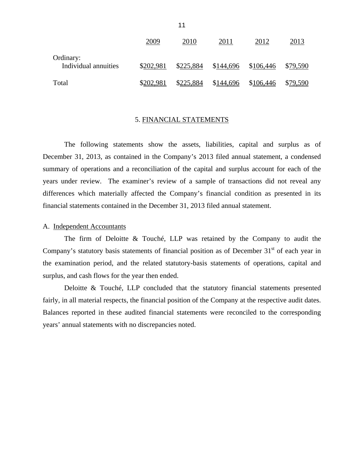|                                   | 2009      | 2010      | 2011      | 2012      | 2013     |
|-----------------------------------|-----------|-----------|-----------|-----------|----------|
| Ordinary:<br>Individual annuities | \$202,981 | \$225,884 | \$144,696 | \$106,446 | \$79,590 |
| Total                             | \$202,981 | \$225,884 | \$144,696 | \$106,446 | \$79,590 |

#### 5. FINANCIAL STATEMENTS

The following statements show the assets, liabilities, capital and surplus as of December 31, 2013, as contained in the Company's 2013 filed annual statement, a condensed summary of operations and a reconciliation of the capital and surplus account for each of the years under review. The examiner's review of a sample of transactions did not reveal any differences which materially affected the Company's financial condition as presented in its financial statements contained in the December 31, 2013 filed annual statement.

### A. Independent Accountants

The firm of Deloitte & Touché, LLP was retained by the Company to audit the Company's statutory basis statements of financial position as of December  $31<sup>st</sup>$  of each year in the examination period, and the related statutory-basis statements of operations, capital and surplus, and cash flows for the year then ended.

 fairly, in all material respects, the financial position of the Company at the respective audit dates. Balances reported in these audited financial statements were reconciled to the corresponding Deloitte & Touché, LLP concluded that the statutory financial statements presented years' annual statements with no discrepancies noted.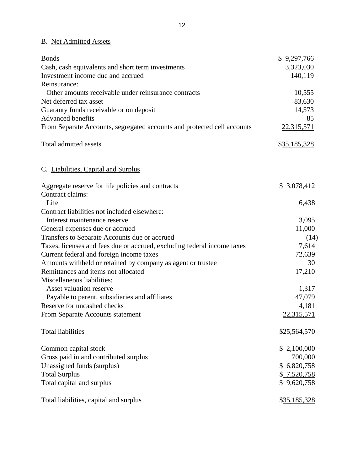## B. Net Admitted Assets

| <b>Bonds</b>                                                            | \$9,297,766  |
|-------------------------------------------------------------------------|--------------|
| Cash, cash equivalents and short term investments                       | 3,323,030    |
| Investment income due and accrued                                       | 140,119      |
| Reinsurance:                                                            |              |
| Other amounts receivable under reinsurance contracts                    | 10,555       |
| Net deferred tax asset                                                  | 83,630       |
| Guaranty funds receivable or on deposit                                 | 14,573       |
| <b>Advanced benefits</b>                                                | 85           |
| From Separate Accounts, segregated accounts and protected cell accounts | 22,315,571   |
| Total admitted assets                                                   | \$35,185,328 |
| C. Liabilities, Capital and Surplus                                     |              |
| Aggregate reserve for life policies and contracts                       | \$ 3,078,412 |
| Contract claims:                                                        |              |
| Life                                                                    | 6,438        |
| Contract liabilities not included elsewhere:                            |              |
| Interest maintenance reserve                                            | 3,095        |
| General expenses due or accrued                                         | 11,000       |
| Transfers to Separate Accounts due or accrued                           | (14)         |
| Taxes, licenses and fees due or accrued, excluding federal income taxes | 7,614        |
| Current federal and foreign income taxes                                | 72,639       |
| Amounts withheld or retained by company as agent or trustee             | 30           |
| Remittances and items not allocated                                     | 17,210       |
| Miscellaneous liabilities:                                              |              |
| Asset valuation reserve                                                 | 1,317        |
| Payable to parent, subsidiaries and affiliates                          | 47,079       |
| Reserve for uncashed checks                                             | 4,181        |
| From Separate Accounts statement                                        | 22,315,571   |
| <b>Total liabilities</b>                                                | \$25,564,570 |
| Common capital stock                                                    | \$2,100,000  |
| Gross paid in and contributed surplus                                   | 700,000      |
| Unassigned funds (surplus)                                              | \$6,820,758  |
| <b>Total Surplus</b>                                                    | \$7,520,758  |
| Total capital and surplus                                               | \$9,620,758  |
| Total liabilities, capital and surplus                                  | \$35,185,328 |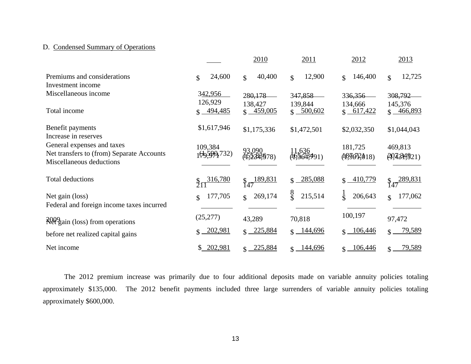### D. Condensed Summary of Operations

|                                                                                                     |                       | 2010                      | 2011                    | 2012                     | 2013                     |
|-----------------------------------------------------------------------------------------------------|-----------------------|---------------------------|-------------------------|--------------------------|--------------------------|
| Premiums and considerations<br>Investment income                                                    | 24,600<br>\$          | 40,400<br>\$              | 12,900<br>$\mathcal{S}$ | 146,400<br>\$            | 12,725<br>\$             |
| Miscellaneous income                                                                                | 342,956<br>126,929    | 280,178<br>138,427        | 347,858<br>139,844      | 336,356<br>134,666       | 308,792<br>145,376       |
| Total income                                                                                        | $$ -494,485$          | $$ -459,005$              | $$ -500,602$            | \$617,422                | $$ -466,893$             |
| Benefit payments<br>Increase in reserves                                                            | \$1,617,946           | \$1,175,336               | \$1,472,501             | \$2,032,350              | \$1,044,043              |
| General expenses and taxes<br>Net transfers to (from) Separate Accounts<br>Miscellaneous deductions | 109,384<br>199599,732 | 93,090<br>15.2349.578)    | 11,636<br>d165643491)   | 181,725<br>(189972018)   | 469,813<br>(20,130,1921) |
| Total deductions                                                                                    | 316,780               | 189,831<br>$\frac{1}{47}$ | 285,088                 | 410,779                  | 289,831<br>$\S_{47}$     |
| Net gain (loss)<br>Federal and foreign income taxes incurred                                        | 177,705<br>\$         | 269,174<br>$\mathcal{S}$  | 8<br>\$<br>215,514      | $\frac{1}{3}$<br>206,643 | 177,062<br>$\mathcal{S}$ |
| Reegain (loss) from operations                                                                      | (25, 277)             | 43,289                    | 70,818                  | 100,197                  | 97,472                   |
| before net realized capital gains                                                                   | 202,981               | $$ -225,884$              | $$ -144,696$            | $$ -106,446$             | 79,589                   |
| Net income                                                                                          | 202,981<br>S.         | $\frac{225,884}{2}$       | $\frac{144,696}{2}$     | $\frac{106,446}{2}$      | $\frac{79,589}{2}$       |

The 2012 premium increase was primarily due to four additional deposits made on variable annuity policies totaling approximately \$135,000. The 2012 benefit payments included three large surrenders of variable annuity policies totaling approximately \$600,000.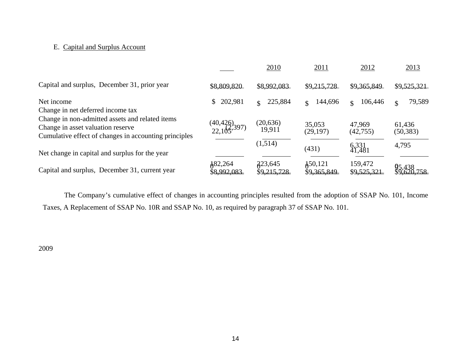### E. Capital and Surplus Account

|                                                                                      |                                       | 2010                   | 2011                              | 2012                     | 2013                |
|--------------------------------------------------------------------------------------|---------------------------------------|------------------------|-----------------------------------|--------------------------|---------------------|
| Capital and surplus, December 31, prior year                                         | \$8,809,820                           | \$8,992,083            | \$9,215,728                       | \$9,365,849              | \$9,525,321         |
| Net income                                                                           | 202,981<br>\$                         | 225,884<br>\$          | 144,696<br>$\mathbf{S}$           | 106,446<br>$\mathcal{S}$ | 79,589<br>\$        |
| Change in net deferred income tax<br>Change in non-admitted assets and related items |                                       |                        |                                   |                          |                     |
| Change in asset valuation reserve                                                    | $(40,426)$<br>22,105 <sup>397</sup> ) | (20, 636)<br>19,911    | 35,053<br>(29, 197)               | 47,969<br>(42,755)       | 61,436<br>(50, 383) |
| Cumulative effect of changes in accounting principles                                |                                       | (1,514)                |                                   |                          | 4,795               |
| Net change in capital and surplus for the year                                       |                                       |                        | (431)                             | 6,331<br>41,481          |                     |
| Capital and surplus, December 31, current year                                       | $\frac{1}{2}82,264$<br>\$8,992,083    | 223,645<br>\$9,215,728 | $\text{\AA}50,121$<br>\$9,365,849 | 159,472<br>\$9,525,321   |                     |

The Company's cumulative effect of changes in accounting principles resulted from the adoption of SSAP No. 101, Income Taxes, A Replacement of SSAP No. 10R and SSAP No. 10, as required by paragraph 37 of SSAP No. 101.

2009